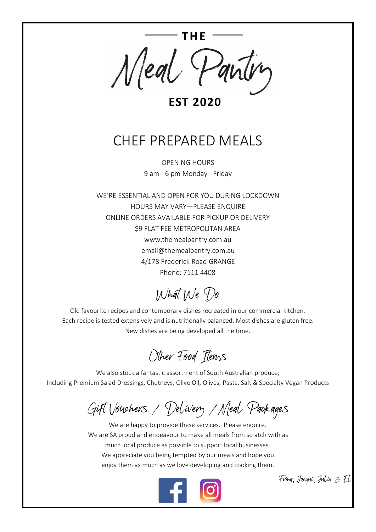

**EST 2020** 

## CHEF PREPARED MEALS

OPENING HOURS 9 am - 6 pm Monday - Friday

WE'RE ESSENTIAL AND OPEN FOR YOU DURING LOCKDOWN HOURS MAY VARY—PLEASE ENQUIRE ONLINE ORDERS AVAILABLE FOR PICKUP OR DELIVERY \$9 FLAT FEE METROPOLITAN AREA www.themealpantry.com.au email@themealpantry.com.au 4/178 Frederick Road GRANGE Phone: 7111 4408

What We Do

Old favourite recipes and contemporary dishes recreated in our commercial kitchen. Each recipe is tested extensively and is nutritionally balanced. Most dishes are gluten free. New dishes are being developed all the time.

Other Food Items

We also stock a fantastic assortment of South Australian produce; Including Premium Salad Dressings, Chutneys, Olive Oil, Olives, Pasta, Salt & Specialty Vegan Products

Gift Vouchers / Delivery /Meal Packages

We are happy to provide these services. Please enquire. We are SA proud and endeavour to make all meals from scratch with as much local produce as possible to support local businesses. We appreciate you being tempted by our meals and hope you enjoy them as much as we love developing and cooking them.



Fiona, Jacqui, Julie & El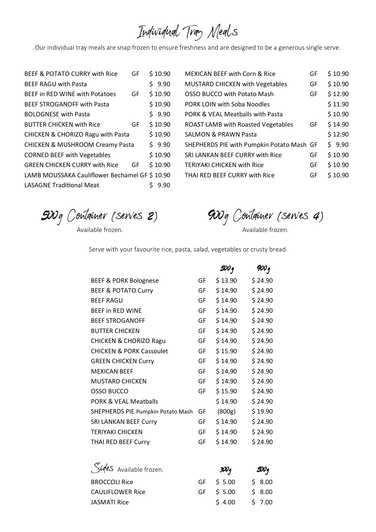## Individual Tray Meals

Our individual tray meals are snap frozen to ensure freshness and are designed to be a generous single serve.

| <b>BEEF &amp; POTATO CURRY with Rice</b>      | GF | \$10.90 |
|-----------------------------------------------|----|---------|
| <b>BEEF RAGU with Pasta</b>                   |    | \$9.90  |
| BEEF in RED WINE with Potatoes                | GF | \$10.90 |
| <b>BEEF STROGANOFF with Pasta</b>             |    | \$10.90 |
| <b>BOLOGNESE with Pasta</b>                   |    | \$9.90  |
| <b>BUTTER CHICKEN with Rice</b>               | GF | \$10.90 |
| CHICKEN & CHORIZO Ragu with Pasta             |    | \$10.90 |
| <b>CHICKEN &amp; MUSHROOM Creamy Pasta</b>    |    | \$9.90  |
| <b>CORNED BEEF with Vegetables</b>            |    | \$10.90 |
| <b>GREEN CHICKEN CURRY with Rice</b>          | GF | \$10.90 |
| LAMB MOUSSAKA Cauliflower Bechamel GF \$10.90 |    |         |
| <b>LASAGNE Traditional Meat</b>               |    | 9.90    |
|                                               |    |         |

| <b>MEXICAN BEEF with Corn &amp; Rice</b>  | GF | \$10.90 |
|-------------------------------------------|----|---------|
| <b>MUSTARD CHICKEN with Vegetables</b>    | GF | \$10.90 |
| OSSO BUCCO with Potato Mash               | GF | \$12.90 |
| PORK LOIN with Soba Noodles               |    | \$11.90 |
| PORK & VEAL Meatballs with Pasta          |    | \$10.90 |
| <b>ROAST LAMB with Roasted Vegetables</b> | GF | \$14.90 |
| <b>SALMON &amp; PRAWN Pasta</b>           |    | \$12.90 |
| SHEPHERDS PIE with Pumpkin Potato Mash GF |    | \$9.90  |
| SRI LANKAN BEEF CURRY with Rice           | GF | \$10.90 |
| <b>TERIYAKI CHICKEN with Rice</b>         | GF | \$10.90 |
| THAI RED BEEF CURRY with Rice             | GF | \$10.90 |

*5*00g Container (serves *2*)

Available frozen.

*9*00g Container (serves *4*)

Available frozen.

Serve with your favourite rice, pasta, salad, vegetables or crusty bread.

|    | 500 q   | 900 q   |
|----|---------|---------|
| GF | \$13.90 | \$24.90 |
| GF | \$14.90 | \$24.90 |
| GF | \$14.90 | \$24.90 |
| GF | \$14.90 | \$24.90 |
| GF | \$14.90 | \$24.90 |
| GF | \$14.90 | \$24.90 |
| GF | \$14.90 | \$24.90 |
| GF | \$15.90 | \$24.90 |
| GF | \$14.90 | \$24.90 |
| GF | \$14.90 | \$24.90 |
| GF | \$14.90 | \$24.90 |
| GF | \$15.90 | \$24.90 |
|    | \$14.90 | \$24.90 |
| GF | (800g)  | \$19.90 |
| GF | \$14.90 | \$24.90 |
| GF | \$14.90 | \$24.90 |
| GF | \$14.90 | \$24.90 |
|    |         |         |

| Siges Available frozen. | 30Oq       | $\mathscr{D}\!\mathscr{O}_q$ |
|-------------------------|------------|------------------------------|
| <b>BROCCOLI Rice</b>    | GF \$ 5.00 | \$8.00                       |
| <b>CAULIFLOWER Rice</b> | GF \$ 5.00 | \$8.00                       |
| <b>JASMATI Rice</b>     | \$4.00     | \$ 7.00                      |